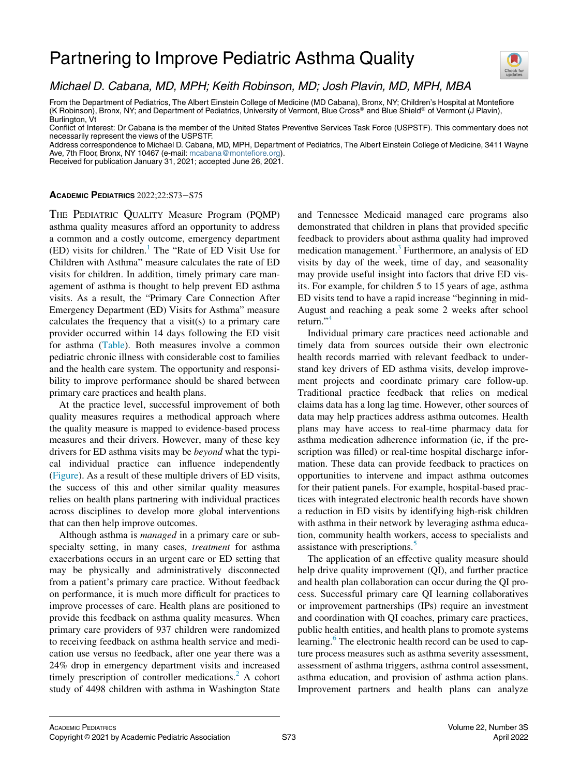# Partnering to Improve Pediatric Asthma Quality



## Michael D. Cabana, MD, MPH; Keith Robinson, MD; Josh Plavin, MD, MPH, MBA

From the Department of Pediatrics, The Albert Einstein College of Medicine (MD Cabana), Bronx, NY; Children's Hospital at Montefiore (K Robinson), Bronx, NY; and Department of Pediatrics, University of Vermont, Blue Cross® and Blue Shield® of Vermont (J Plavin), Burlington, Vt

Conflict of Interest: Dr Cabana is the member of the United States Preventive Services Task Force (USPSTF). This commentary does not necessarily represent the views of the USPSTF.

Address correspondence to Michael D. Cabana, MD, MPH, Department of Pediatrics, The Albert Einstein College of Medicine, 3411 Wayne Ave, 7th Floor, Bronx, NY 10467 (e-mail: [mcabana@montefiore.org\)](mailto:mcabana@montefiore.org).

Received for publication January 31, 2021; accepted June 26, 2021.

### ACADEMIC PEDIATRICS 2022;22:S73−S75

THE PEDIATRIC QUALITY Measure Program (PQMP) asthma quality measures afford an opportunity to address a common and a costly outcome, emergency department  $(ED)$  visits for children.<sup>[1](#page-2-0)</sup> The "Rate of ED Visit Use for Children with Asthma" measure calculates the rate of ED visits for children. In addition, timely primary care management of asthma is thought to help prevent ED asthma visits. As a result, the "Primary Care Connection After Emergency Department (ED) Visits for Asthma" measure calculates the frequency that a visit(s) to a primary care provider occurred within 14 days following the ED visit for asthma ([Table\)](#page-1-0). Both measures involve a common pediatric chronic illness with considerable cost to families and the health care system. The opportunity and responsibility to improve performance should be shared between primary care practices and health plans.

At the practice level, successful improvement of both quality measures requires a methodical approach where the quality measure is mapped to evidence-based process measures and their drivers. However, many of these key drivers for ED asthma visits may be beyond what the typical individual practice can influence independently [\(Figure](#page-1-1)). As a result of these multiple drivers of ED visits, the success of this and other similar quality measures relies on health plans partnering with individual practices across disciplines to develop more global interventions that can then help improve outcomes.

Although asthma is *managed* in a primary care or subspecialty setting, in many cases, treatment for asthma exacerbations occurs in an urgent care or ED setting that may be physically and administratively disconnected from a patient's primary care practice. Without feedback on performance, it is much more difficult for practices to improve processes of care. Health plans are positioned to provide this feedback on asthma quality measures. When primary care providers of 937 children were randomized to receiving feedback on asthma health service and medication use versus no feedback, after one year there was a 24% drop in emergency department visits and increased timely prescription of controller medications.<sup>[2](#page-2-1)</sup> A cohort study of 4498 children with asthma in Washington State

and Tennessee Medicaid managed care programs also demonstrated that children in plans that provided specific feedback to providers about asthma quality had improved medication management.<sup>[3](#page-2-2)</sup> Furthermore, an analysis of ED visits by day of the week, time of day, and seasonality may provide useful insight into factors that drive ED visits. For example, for children 5 to 15 years of age, asthma ED visits tend to have a rapid increase "beginning in mid-August and reaching a peak some 2 weeks after school return."<sup>[4](#page-2-3)</sup>

Individual primary care practices need actionable and timely data from sources outside their own electronic health records married with relevant feedback to understand key drivers of ED asthma visits, develop improvement projects and coordinate primary care follow-up. Traditional practice feedback that relies on medical claims data has a long lag time. However, other sources of data may help practices address asthma outcomes. Health plans may have access to real-time pharmacy data for asthma medication adherence information (ie, if the prescription was filled) or real-time hospital discharge information. These data can provide feedback to practices on opportunities to intervene and impact asthma outcomes for their patient panels. For example, hospital-based practices with integrated electronic health records have shown a reduction in ED visits by identifying high-risk children with asthma in their network by leveraging asthma education, community health workers, access to specialists and assistance with prescriptions.<sup>[5](#page-2-4)</sup>

The application of an effective quality measure should help drive quality improvement (QI), and further practice and health plan collaboration can occur during the QI process. Successful primary care QI learning collaboratives or improvement partnerships (IPs) require an investment and coordination with QI coaches, primary care practices, public health entities, and health plans to promote systems learning.<sup>[6](#page-2-5)</sup> The electronic health record can be used to capture process measures such as asthma severity assessment, assessment of asthma triggers, asthma control assessment, asthma education, and provision of asthma action plans. Improvement partners and health plans can analyze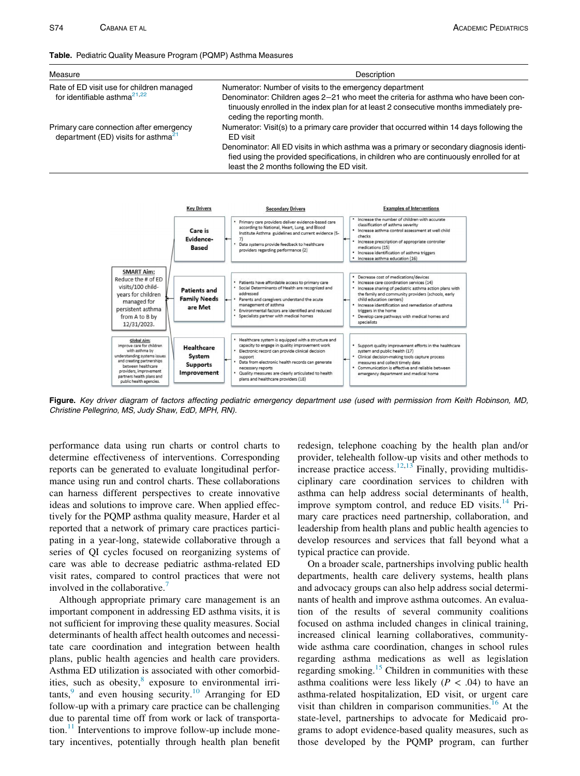#### <span id="page-1-0"></span>Table. Pediatric Quality Measure Program (PQMP) Asthma Measures

| Measure                                                                              | Description                                                                                                                                                                                                                       |
|--------------------------------------------------------------------------------------|-----------------------------------------------------------------------------------------------------------------------------------------------------------------------------------------------------------------------------------|
| Rate of ED visit use for children managed                                            | Numerator: Number of visits to the emergency department                                                                                                                                                                           |
| for identifiable asthma $^{21,22}$                                                   | Denominator: Children ages 2-21 who meet the criteria for asthma who have been con-<br>tinuously enrolled in the index plan for at least 2 consecutive months immediately pre-<br>ceding the reporting month.                     |
| Primary care connection after emergency<br>department (ED) visits for asthma $^{21}$ | Numerator: Visit(s) to a primary care provider that occurred within 14 days following the<br>ED visit                                                                                                                             |
|                                                                                      | Denominator: All ED visits in which asthma was a primary or secondary diagnosis identi-<br>fied using the provided specifications, in children who are continuously enrolled for at<br>least the 2 months following the ED visit. |

<span id="page-1-1"></span>

Figure. Key driver diagram of factors affecting pediatric emergency department use (used with permission from Keith Robinson, MD, Christine Pellegrino, MS, Judy Shaw, EdD, MPH, RN).

performance data using run charts or control charts to determine effectiveness of interventions. Corresponding reports can be generated to evaluate longitudinal performance using run and control charts. These collaborations can harness different perspectives to create innovative ideas and solutions to improve care. When applied effectively for the PQMP asthma quality measure, Harder et al reported that a network of primary care practices participating in a year-long, statewide collaborative through a series of QI cycles focused on reorganizing systems of care was able to decrease pediatric asthma-related ED visit rates, compared to control practices that were not involved in the collaborative.

Although appropriate primary care management is an important component in addressing ED asthma visits, it is not sufficient for improving these quality measures. Social determinants of health affect health outcomes and necessitate care coordination and integration between health plans, public health agencies and health care providers. Asthma ED utilization is associated with other comorbid-ities, such as obesity,<sup>[8](#page-2-7)</sup> exposure to environmental irri $tants$ , and even housing security.<sup>[10](#page-2-9)</sup> Arranging for ED follow-up with a primary care practice can be challenging due to parental time off from work or lack of transportation. $11$  Interventions to improve follow-up include monetary incentives, potentially through health plan benefit redesign, telephone coaching by the health plan and/or provider, telehealth follow-up visits and other methods to increase practice access.<sup>[12](#page-2-11)[,13](#page-2-12)</sup> Finally, providing multidisciplinary care coordination services to children with asthma can help address social determinants of health, improve symptom control, and reduce ED visits. $14$  Primary care practices need partnership, collaboration, and leadership from health plans and public health agencies to develop resources and services that fall beyond what a typical practice can provide.

On a broader scale, partnerships involving public health departments, health care delivery systems, health plans and advocacy groups can also help address social determinants of health and improve asthma outcomes. An evaluation of the results of several community coalitions focused on asthma included changes in clinical training, increased clinical learning collaboratives, communitywide asthma care coordination, changes in school rules regarding asthma medications as well as legislation regarding smoking.<sup>15</sup> Children in communities with these asthma coalitions were less likely ( $P < .04$ ) to have an asthma-related hospitalization, ED visit, or urgent care visit than children in comparison communities.<sup>[16](#page-2-15)</sup> At the state-level, partnerships to advocate for Medicaid programs to adopt evidence-based quality measures, such as those developed by the PQMP program, can further